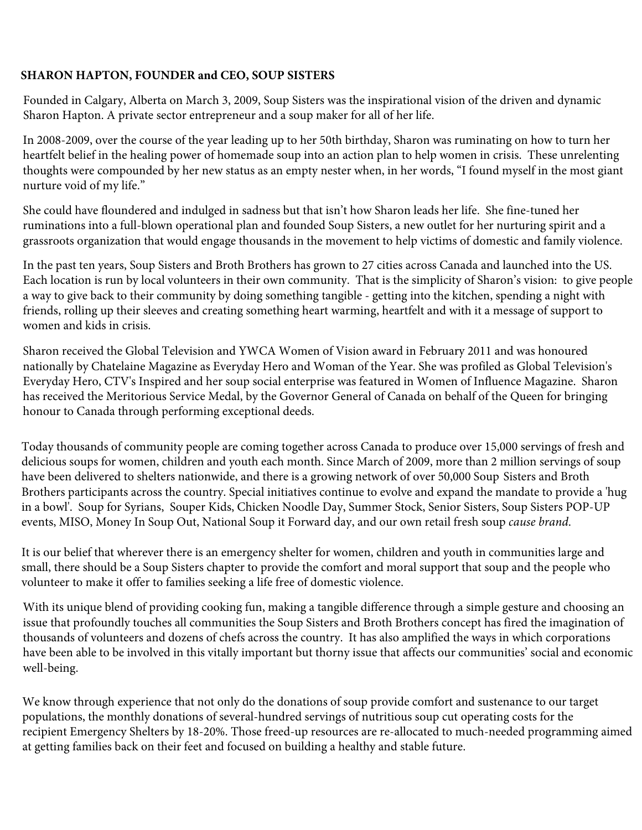## **SHARON HAPTON, FOUNDER and CEO, SOUP SISTERS**

Founded in Calgary, Alberta on March 3, 2009, Soup Sisters was the inspirational vision of the driven and dynamic Sharon Hapton. A private sector entrepreneur and a soup maker for all of her life.

In 2008-2009, over the course of the year leading up to her 50th birthday, Sharon was ruminating on how to turn her heartfelt belief in the healing power of homemade soup into an action plan to help women in crisis. These unrelenting thoughts were compounded by her new status as an empty nester when, in her words, "I found myself in the most giant nurture void of my life."

She could have floundered and indulged in sadness but that isn't how Sharon leads her life. She fine-tuned her ruminations into a full-blown operational plan and founded Soup Sisters, a new outlet for her nurturing spirit and a grassroots organization that would engage thousands in the movement to help victims of domestic and family violence.

In the past ten years, Soup Sisters and Broth Brothers has grown to 27 cities across Canada and launched into the US. Each location is run by local volunteers in their own community. That is the simplicity of Sharon's vision: to give people a way to give back to their community by doing something tangible - getting into the kitchen, spending a night with friends, rolling up their sleeves and creating something heart warming, heartfelt and with it a message of support to women and kids in crisis.

Sharon received the Global Television and YWCA Women of Vision award in February 2011 and was honoured nationally by Chatelaine Magazine as Everyday Hero and Woman of the Year. She was profiled as Global Television's Everyday Hero, CTV's Inspired and her soup social enterprise was featured in Women of Influence Magazine. Sharon has received the Meritorious Service Medal, by the Governor General of Canada on behalf of the Queen for bringing honour to Canada through performing exceptional deeds.

Today thousands of community people are coming together across Canada to produce over 15,000 servings of fresh and delicious soups for women, children and youth each month. Since March of 2009, more than 2 million servings of soup have been delivered to shelters nationwide, and there is a growing network of over 50,000 Soup Sisters and Broth Brothers participants across the country. Special initiatives continue to evolve and expand the mandate to provide a 'hug in a bowl'. Soup for Syrians, Souper Kids, Chicken Noodle Day, Summer Stock, Senior Sisters, Soup Sisters POP-UP events, MISO, Money In Soup Out, National Soup it Forward day, and our own retail fresh soup *cause brand*.

It is our belief that wherever there is an emergency shelter for women, children and youth in communities large and small, there should be a Soup Sisters chapter to provide the comfort and moral support that soup and the people who volunteer to make it offer to families seeking a life free of domestic violence.

With its unique blend of providing cooking fun, making a tangible difference through a simple gesture and choosing an issue that profoundly touches all communities the Soup Sisters and Broth Brothers concept has fired the imagination of thousands of volunteers and dozens of chefs across the country. It has also amplified the ways in which corporations have been able to be involved in this vitally important but thorny issue that affects our communities' social and economic well-being.

We know through experience that not only do the donations of soup provide comfort and sustenance to our target populations, the monthly donations of several-hundred servings of nutritious soup cut operating costs for the recipient Emergency Shelters by 18-20%. Those freed-up resources are re-allocated to much-needed programming aimed at getting families back on their feet and focused on building a healthy and stable future.